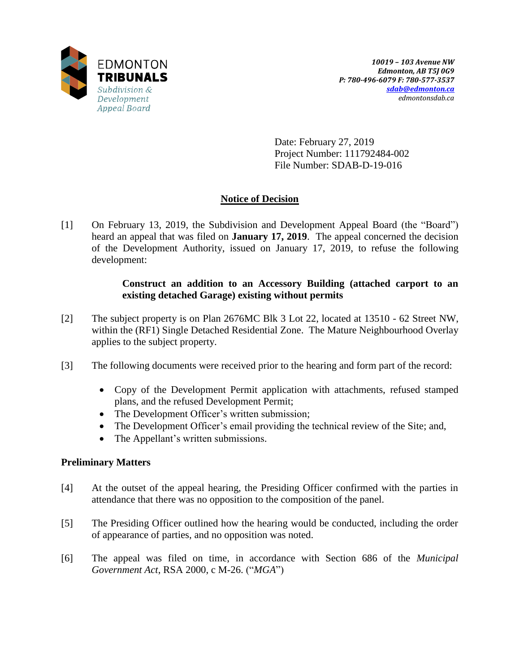

Date: February 27, 2019 Project Number: 111792484-002 File Number: SDAB-D-19-016

# **Notice of Decision**

[1] On February 13, 2019, the Subdivision and Development Appeal Board (the "Board") heard an appeal that was filed on **January 17, 2019**. The appeal concerned the decision of the Development Authority, issued on January 17, 2019, to refuse the following development:

### **Construct an addition to an Accessory Building (attached carport to an existing detached Garage) existing without permits**

- [2] The subject property is on Plan 2676MC Blk 3 Lot 22, located at 13510 62 Street NW, within the (RF1) Single Detached Residential Zone. The Mature Neighbourhood Overlay applies to the subject property.
- [3] The following documents were received prior to the hearing and form part of the record:
	- Copy of the Development Permit application with attachments, refused stamped plans, and the refused Development Permit;
	- The Development Officer's written submission;
	- The Development Officer's email providing the technical review of the Site; and,
	- The Appellant's written submissions.

## **Preliminary Matters**

- [4] At the outset of the appeal hearing, the Presiding Officer confirmed with the parties in attendance that there was no opposition to the composition of the panel.
- [5] The Presiding Officer outlined how the hearing would be conducted, including the order of appearance of parties, and no opposition was noted.
- [6] The appeal was filed on time, in accordance with Section 686 of the *Municipal Government Act*, RSA 2000, c M-26. ("*MGA*")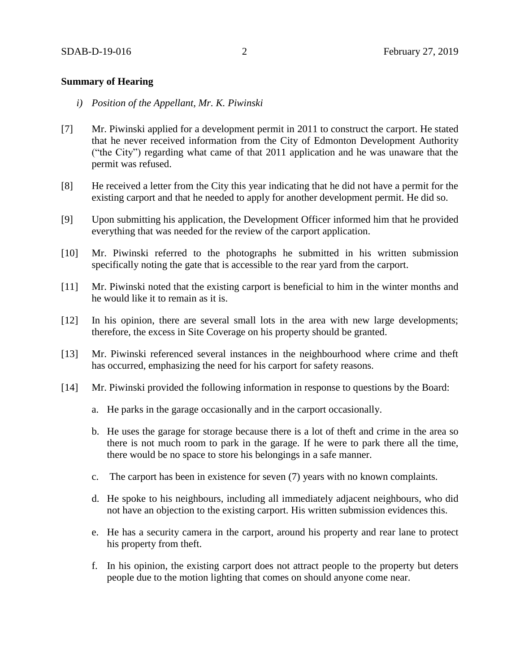#### **Summary of Hearing**

- *i) Position of the Appellant, Mr. K. Piwinski*
- [7] Mr. Piwinski applied for a development permit in 2011 to construct the carport. He stated that he never received information from the City of Edmonton Development Authority ("the City") regarding what came of that 2011 application and he was unaware that the permit was refused.
- [8] He received a letter from the City this year indicating that he did not have a permit for the existing carport and that he needed to apply for another development permit. He did so.
- [9] Upon submitting his application, the Development Officer informed him that he provided everything that was needed for the review of the carport application.
- [10] Mr. Piwinski referred to the photographs he submitted in his written submission specifically noting the gate that is accessible to the rear yard from the carport.
- [11] Mr. Piwinski noted that the existing carport is beneficial to him in the winter months and he would like it to remain as it is.
- [12] In his opinion, there are several small lots in the area with new large developments; therefore, the excess in Site Coverage on his property should be granted.
- [13] Mr. Piwinski referenced several instances in the neighbourhood where crime and theft has occurred, emphasizing the need for his carport for safety reasons.
- [14] Mr. Piwinski provided the following information in response to questions by the Board:
	- a. He parks in the garage occasionally and in the carport occasionally.
	- b. He uses the garage for storage because there is a lot of theft and crime in the area so there is not much room to park in the garage. If he were to park there all the time, there would be no space to store his belongings in a safe manner.
	- c. The carport has been in existence for seven (7) years with no known complaints.
	- d. He spoke to his neighbours, including all immediately adjacent neighbours, who did not have an objection to the existing carport. His written submission evidences this.
	- e. He has a security camera in the carport, around his property and rear lane to protect his property from theft.
	- f. In his opinion, the existing carport does not attract people to the property but deters people due to the motion lighting that comes on should anyone come near.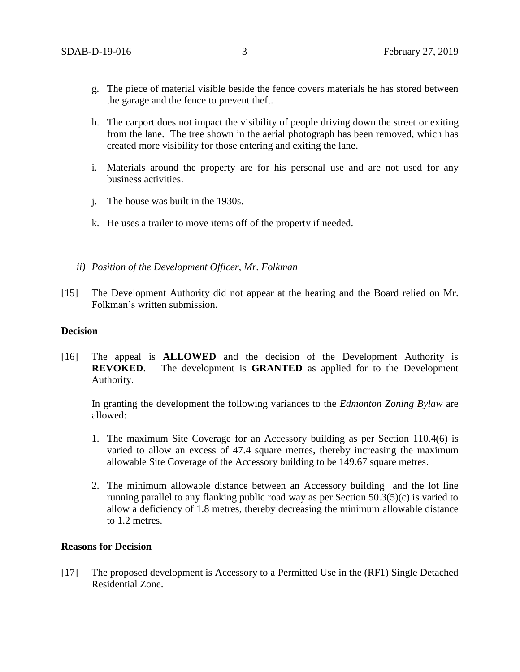- g. The piece of material visible beside the fence covers materials he has stored between the garage and the fence to prevent theft.
- h. The carport does not impact the visibility of people driving down the street or exiting from the lane. The tree shown in the aerial photograph has been removed, which has created more visibility for those entering and exiting the lane.
- i. Materials around the property are for his personal use and are not used for any business activities.
- j. The house was built in the 1930s.
- k. He uses a trailer to move items off of the property if needed.
- *ii) Position of the Development Officer, Mr. Folkman*
- [15] The Development Authority did not appear at the hearing and the Board relied on Mr. Folkman's written submission.

#### **Decision**

[16] The appeal is **ALLOWED** and the decision of the Development Authority is **REVOKED**. The development is **GRANTED** as applied for to the Development Authority.

In granting the development the following variances to the *Edmonton Zoning Bylaw* are allowed:

- 1. The maximum Site Coverage for an Accessory building as per Section 110.4(6) is varied to allow an excess of 47.4 square metres, thereby increasing the maximum allowable Site Coverage of the Accessory building to be 149.67 square metres.
- 2. The minimum allowable distance between an Accessory building and the lot line running parallel to any flanking public road way as per Section 50.3(5)(c) is varied to allow a deficiency of 1.8 metres, thereby decreasing the minimum allowable distance to 1.2 metres.

### **Reasons for Decision**

[17] The proposed development is Accessory to a Permitted Use in the (RF1) Single Detached Residential Zone.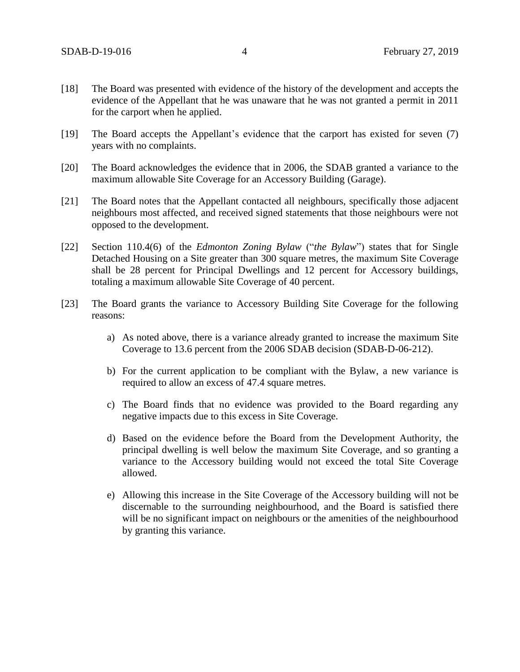- [18] The Board was presented with evidence of the history of the development and accepts the evidence of the Appellant that he was unaware that he was not granted a permit in 2011 for the carport when he applied.
- [19] The Board accepts the Appellant's evidence that the carport has existed for seven (7) years with no complaints.
- [20] The Board acknowledges the evidence that in 2006, the SDAB granted a variance to the maximum allowable Site Coverage for an Accessory Building (Garage).
- [21] The Board notes that the Appellant contacted all neighbours, specifically those adjacent neighbours most affected, and received signed statements that those neighbours were not opposed to the development.
- [22] Section 110.4(6) of the *Edmonton Zoning Bylaw* ("*the Bylaw*") states that for Single Detached Housing on a Site greater than 300 square metres, the maximum Site Coverage shall be 28 percent for Principal Dwellings and 12 percent for Accessory buildings, totaling a maximum allowable Site Coverage of 40 percent.
- [23] The Board grants the variance to Accessory Building Site Coverage for the following reasons:
	- a) As noted above, there is a variance already granted to increase the maximum Site Coverage to 13.6 percent from the 2006 SDAB decision (SDAB-D-06-212).
	- b) For the current application to be compliant with the Bylaw, a new variance is required to allow an excess of 47.4 square metres.
	- c) The Board finds that no evidence was provided to the Board regarding any negative impacts due to this excess in Site Coverage.
	- d) Based on the evidence before the Board from the Development Authority, the principal dwelling is well below the maximum Site Coverage, and so granting a variance to the Accessory building would not exceed the total Site Coverage allowed.
	- e) Allowing this increase in the Site Coverage of the Accessory building will not be discernable to the surrounding neighbourhood, and the Board is satisfied there will be no significant impact on neighbours or the amenities of the neighbourhood by granting this variance.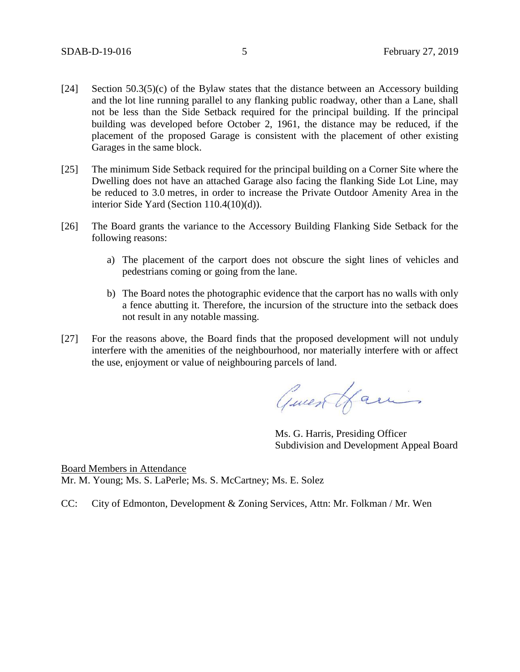- [24] Section  $50.3(5)(c)$  of the Bylaw states that the distance between an Accessory building and the lot line running parallel to any flanking public roadway, other than a Lane, shall not be less than the Side Setback required for the principal building. If the principal building was developed before October 2, 1961, the distance may be reduced, if the placement of the proposed Garage is consistent with the placement of other existing Garages in the same block.
- [25] The minimum Side Setback required for the principal building on a Corner Site where the Dwelling does not have an attached Garage also facing the flanking Side Lot Line, may be reduced to [3.0](javascript:void(0);) metres, in order to increase the Private Outdoor Amenity Area in the interior Side Yard (Section 110.4(10)(d)).
- [26] The Board grants the variance to the Accessory Building Flanking Side Setback for the following reasons:
	- a) The placement of the carport does not obscure the sight lines of vehicles and pedestrians coming or going from the lane.
	- b) The Board notes the photographic evidence that the carport has no walls with only a fence abutting it. Therefore, the incursion of the structure into the setback does not result in any notable massing.
- [27] For the reasons above, the Board finds that the proposed development will not unduly interfere with the amenities of the neighbourhood, nor materially interfere with or affect the use, enjoyment or value of neighbouring parcels of land.

Guess Hamis

Ms. G. Harris, Presiding Officer Subdivision and Development Appeal Board

Board Members in Attendance Mr. M. Young; Ms. S. LaPerle; Ms. S. McCartney; Ms. E. Solez

CC: City of Edmonton, Development & Zoning Services, Attn: Mr. Folkman / Mr. Wen